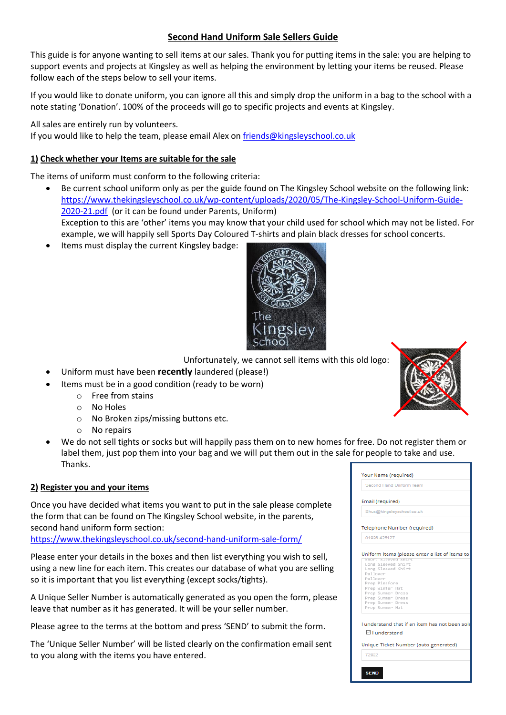# **Second Hand Uniform Sale Sellers Guide**

This guide is for anyone wanting to sell items at our sales. Thank you for putting items in the sale: you are helping to support events and projects at Kingsley as well as helping the environment by letting your items be reused. Please follow each of the steps below to sell your items.

If you would like to donate uniform, you can ignore all this and simply drop the uniform in a bag to the school with a note stating 'Donation'. 100% of the proceeds will go to specific projects and events at Kingsley.

All sales are entirely run by volunteers.

If you would like to help the team, please email Alex on [friends@kingsleyschool.co.uk](mailto:friends@kingsleyschool.co.uk)

## **1) Check whether your Items are suitable for the sale**

The items of uniform must conform to the following criteria:

- Be current school uniform only as per the guide found on The Kingsley School website on the following link: [https://www.thekingsleyschool.co.uk/wp-content/uploads/2020/05/The-Kingsley-School-Uniform-Guide-](https://www.thekingsleyschool.co.uk/wp-content/uploads/2020/05/The-Kingsley-School-Uniform-Guide-2020-21.pdf)[2020-21.pdf](https://www.thekingsleyschool.co.uk/wp-content/uploads/2020/05/The-Kingsley-School-Uniform-Guide-2020-21.pdf) (or it can be found under Parents, Uniform) Exception to this are 'other' items you may know that your child used for school which may not be listed. For example, we will happily sell Sports Day Coloured T-shirts and plain black dresses for school concerts.
- Items must display the current Kingsley badge:



Unfortunately, we cannot sell items with this old logo:

- Uniform must have been **recently** laundered (please!)
	- Items must be in a good condition (ready to be worn)
		- o Free from stains
		- o No Holes
		- o No Broken zips/missing buttons etc.
		- o No repairs
- We do not sell tights or socks but will happily pass them on to new homes for free. Do not register them or label them, just pop them into your bag and we will put them out in the sale for people to take and use. Thanks.

## **2) Register you and your items**

Once you have decided what items you want to put in the sale please complete the form that can be found on The Kingsley School website, in the parents, second hand uniform form section:

<https://www.thekingsleyschool.co.uk/second-hand-uniform-sale-form/>

Please enter your details in the boxes and then list everything you wish to sell, using a new line for each item. This creates our database of what you are selling so it is important that you list everything (except socks/tights).

A Unique Seller Number is automatically generated as you open the form, please leave that number as it has generated. It will be your seller number.

Please agree to the terms at the bottom and press 'SEND' to submit the form.

The 'Unique Seller Number' will be listed clearly on the confirmation email sent to you along with the items you have entered.

| Second Hand Uniform Team |                                                                                                                                                                                                                                                                                           |
|--------------------------|-------------------------------------------------------------------------------------------------------------------------------------------------------------------------------------------------------------------------------------------------------------------------------------------|
|                          |                                                                                                                                                                                                                                                                                           |
|                          |                                                                                                                                                                                                                                                                                           |
| Email (required)         |                                                                                                                                                                                                                                                                                           |
|                          |                                                                                                                                                                                                                                                                                           |
|                          |                                                                                                                                                                                                                                                                                           |
|                          |                                                                                                                                                                                                                                                                                           |
|                          |                                                                                                                                                                                                                                                                                           |
|                          |                                                                                                                                                                                                                                                                                           |
|                          |                                                                                                                                                                                                                                                                                           |
|                          |                                                                                                                                                                                                                                                                                           |
|                          |                                                                                                                                                                                                                                                                                           |
|                          | Uniform Items (please enter a list of items to                                                                                                                                                                                                                                            |
|                          |                                                                                                                                                                                                                                                                                           |
|                          |                                                                                                                                                                                                                                                                                           |
|                          |                                                                                                                                                                                                                                                                                           |
|                          |                                                                                                                                                                                                                                                                                           |
|                          |                                                                                                                                                                                                                                                                                           |
|                          |                                                                                                                                                                                                                                                                                           |
|                          |                                                                                                                                                                                                                                                                                           |
|                          |                                                                                                                                                                                                                                                                                           |
|                          |                                                                                                                                                                                                                                                                                           |
|                          |                                                                                                                                                                                                                                                                                           |
|                          |                                                                                                                                                                                                                                                                                           |
|                          |                                                                                                                                                                                                                                                                                           |
|                          | Shus@kingsleyschool.co.uk<br>Telephone Number (required)<br>01926 425127<br>SMORT STEEVED SMIRT<br>Long Sleeved Shirt<br>Long Sleeved Shirt<br>Pullover<br>Pullover<br>Prep Pinafore<br>Prep Winter Hat<br>Prep Summer Dress<br>Prep Summer Dress<br>Prep Summer Dress<br>Prep Summer Hat |

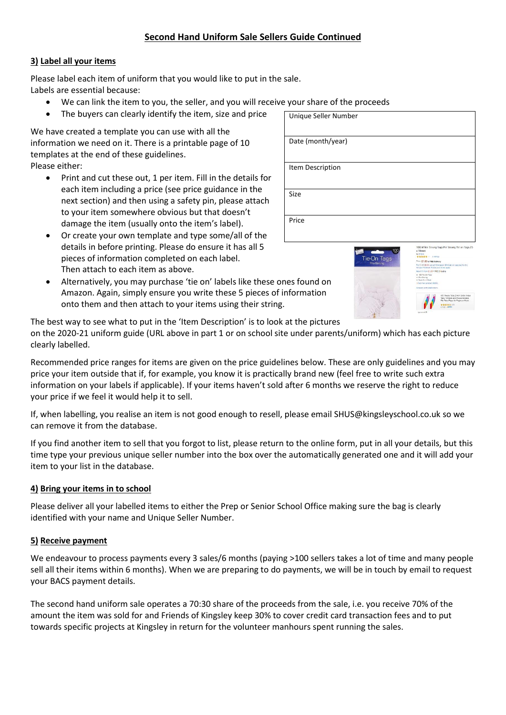## **Second Hand Uniform Sale Sellers Guide Continued**

### **3) Label all your items**

Please label each item of uniform that you would like to put in the sale. Labels are essential because:

- We can link the item to you, the seller, and you will receive your share of the proceeds
- The buyers can clearly identify the item, size and price

We have created a template you can use with all the information we need on it. There is a printable page of 10 templates at the end of these guidelines. Please either:

- Print and cut these out, 1 per item. Fill in the details for each item including a price (see price guidance in the next section) and then using a safety pin, please attach to your item somewhere obvious but that doesn't damage the item (usually onto the item's label).
- Or create your own template and type some/all of the details in before printing. Please do ensure it has all 5 pieces of information completed on each label. Then attach to each item as above.
- Alternatively, you may purchase 'tie on' labels like these ones found on Amazon. Again, simply ensure you write these 5 pieces of information onto them and then attach to your items using their string.

| Unique Seller Number |
|----------------------|
| Date (month/year)    |
| Item Description     |
| Size                 |
| Price                |





The best way to see what to put in the 'Item Description' is to look at the pictures on the 2020-21 uniform guide (URL above in part 1 or on school site under parents/uniform) which has each picture clearly labelled.

Recommended price ranges for items are given on the price guidelines below. These are only guidelines and you may price your item outside that if, for example, you know it is practically brand new (feel free to write such extra information on your labels if applicable). If your items haven't sold after 6 months we reserve the right to reduce your price if we feel it would help it to sell.

If, when labelling, you realise an item is not good enough to resell, please email SHUS@kingsleyschool.co.uk so we can remove it from the database.

If you find another item to sell that you forgot to list, please return to the online form, put in all your details, but this time type your previous unique seller number into the box over the automatically generated one and it will add your item to your list in the database.

#### **4) Bring your items in to school**

Please deliver all your labelled items to either the Prep or Senior School Office making sure the bag is clearly identified with your name and Unique Seller Number.

#### **5) Receive payment**

We endeavour to process payments every 3 sales/6 months (paying >100 sellers takes a lot of time and many people sell all their items within 6 months). When we are preparing to do payments, we will be in touch by email to request your BACS payment details.

The second hand uniform sale operates a 70:30 share of the proceeds from the sale, i.e. you receive 70% of the amount the item was sold for and Friends of Kingsley keep 30% to cover credit card transaction fees and to put towards specific projects at Kingsley in return for the volunteer manhours spent running the sales.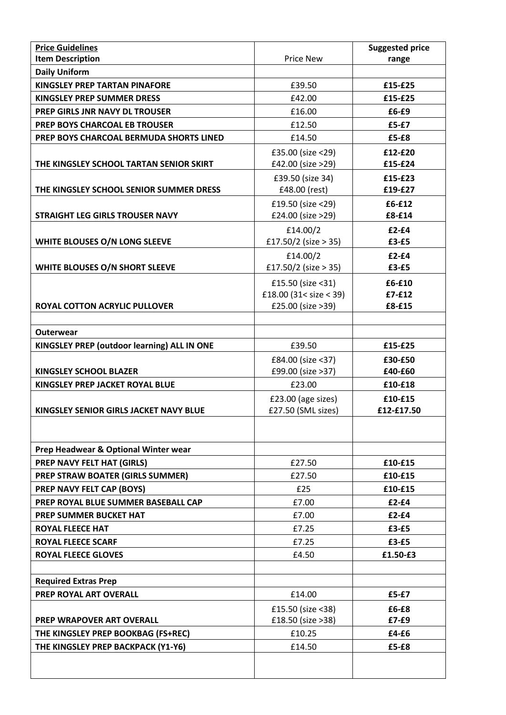| <b>Price Guidelines</b>                     |                        | <b>Suggested price</b> |
|---------------------------------------------|------------------------|------------------------|
| <b>Item Description</b>                     | <b>Price New</b>       | range                  |
| <b>Daily Uniform</b>                        |                        |                        |
| <b>KINGSLEY PREP TARTAN PINAFORE</b>        | £39.50                 | £15-£25                |
| <b>KINGSLEY PREP SUMMER DRESS</b>           | £42.00                 | £15-£25                |
| PREP GIRLS JNR NAVY DL TROUSER              | £16.00                 | £6-£9                  |
| PREP BOYS CHARCOAL EB TROUSER               | £12.50                 | £5-£7                  |
| PREP BOYS CHARCOAL BERMUDA SHORTS LINED     | £14.50                 | £5-£8                  |
|                                             | £35.00 (size <29)      | £12-£20                |
| THE KINGSLEY SCHOOL TARTAN SENIOR SKIRT     | £42.00 (size >29)      | £15-£24                |
|                                             | £39.50 (size 34)       | £15-£23                |
| THE KINGSLEY SCHOOL SENIOR SUMMER DRESS     | £48.00 (rest)          | £19-£27                |
|                                             | £19.50 (size <29)      | £6-£12                 |
| <b>STRAIGHT LEG GIRLS TROUSER NAVY</b>      | £24.00 (size >29)      | £8-£14                 |
|                                             | £14.00/2               | $£2-E4$                |
| WHITE BLOUSES O/N LONG SLEEVE               | £17.50/2 (size > 35)   | $£3-E5$                |
|                                             | £14.00/2               | $£2-E4$                |
| WHITE BLOUSES O/N SHORT SLEEVE              | £17.50/2 (size > 35)   | £3-£5                  |
|                                             | £15.50 (size <31)      | £6-£10                 |
|                                             | £18.00 (31< size < 39) | $£7-F12$               |
| <b>ROYAL COTTON ACRYLIC PULLOVER</b>        | £25.00 (size >39)      | £8-£15                 |
|                                             |                        |                        |
| <b>Outerwear</b>                            |                        |                        |
| KINGSLEY PREP (outdoor learning) ALL IN ONE | £39.50                 | £15-£25                |
|                                             | £84.00 (size <37)      | £30-£50                |
| <b>KINGSLEY SCHOOL BLAZER</b>               | £99.00 (size >37)      | £40-£60                |
| KINGSLEY PREP JACKET ROYAL BLUE             | £23.00                 | £10-£18                |
|                                             | £23.00 (age sizes)     | £10-£15                |
| KINGSLEY SENIOR GIRLS JACKET NAVY BLUE      | £27.50 (SML sizes)     | £12-£17.50             |
|                                             |                        |                        |
| Prep Headwear & Optional Winter wear        |                        |                        |
| <b>PREP NAVY FELT HAT (GIRLS)</b>           | £27.50                 | £10-£15                |
| PREP STRAW BOATER (GIRLS SUMMER)            | £27.50                 | £10-£15                |
| PREP NAVY FELT CAP (BOYS)                   | £25                    | £10-£15                |
| PREP ROYAL BLUE SUMMER BASEBALL CAP         | £7.00                  | $£2-f4$                |
| PREP SUMMER BUCKET HAT                      | £7.00                  | $E2 - E4$              |
| <b>ROYAL FLEECE HAT</b>                     | £7.25                  | $f3-f5$                |
| <b>ROYAL FLEECE SCARF</b>                   | £7.25                  | $£3-E5$                |
| <b>ROYAL FLEECE GLOVES</b>                  | £4.50                  | £1.50-£3               |
|                                             |                        |                        |
| <b>Required Extras Prep</b>                 |                        |                        |
| PREP ROYAL ART OVERALL                      | £14.00                 | £5-£7                  |
|                                             | £15.50 (size <38)      | $£6-E8$                |
| <b>PREP WRAPOVER ART OVERALL</b>            | £18.50 (size >38)      | $£7-E9$                |
| THE KINGSLEY PREP BOOKBAG (FS+REC)          | £10.25                 | $£4-E6$                |
| THE KINGSLEY PREP BACKPACK (Y1-Y6)          | £14.50                 | £5-£8                  |
|                                             |                        |                        |
|                                             |                        |                        |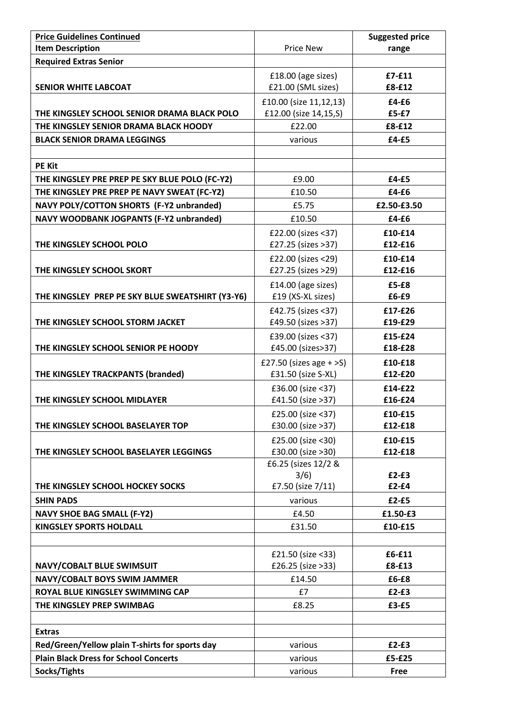| <b>Price Guidelines Continued</b>                |                           | <b>Suggested price</b> |
|--------------------------------------------------|---------------------------|------------------------|
| <b>Item Description</b>                          | <b>Price New</b>          | range                  |
| <b>Required Extras Senior</b>                    |                           |                        |
|                                                  | £18.00 (age sizes)        | $£7-F11$               |
| <b>SENIOR WHITE LABCOAT</b>                      | £21.00 (SML sizes)        | £8-£12                 |
|                                                  | £10.00 (size 11,12,13)    | £4-£6                  |
| THE KINGSLEY SCHOOL SENIOR DRAMA BLACK POLO      | £12.00 (size 14,15,S)     | £5-£7                  |
| THE KINGSLEY SENIOR DRAMA BLACK HOODY            | £22.00                    | £8-£12                 |
| <b>BLACK SENIOR DRAMA LEGGINGS</b>               | various                   | $£4-E5$                |
|                                                  |                           |                        |
| <b>PE Kit</b>                                    |                           |                        |
| THE KINGSLEY PRE PREP PE SKY BLUE POLO (FC-Y2)   | £9.00                     | $£4-E5$                |
| THE KINGSLEY PRE PREP PE NAVY SWEAT (FC-Y2)      | £10.50                    | £4-£6                  |
| NAVY POLY/COTTON SHORTS (F-Y2 unbranded)         | £5.75                     | £2.50-£3.50            |
| <b>NAVY WOODBANK JOGPANTS (F-Y2 unbranded)</b>   | £10.50                    | $£4-E6$                |
|                                                  | £22.00 (sizes <37)        | £10-£14                |
| THE KINGSLEY SCHOOL POLO                         | £27.25 (sizes >37)        | £12-£16                |
|                                                  | £22.00 (sizes <29)        | £10-£14                |
| THE KINGSLEY SCHOOL SKORT                        | £27.25 (sizes >29)        | £12-£16                |
|                                                  |                           |                        |
|                                                  | £14.00 (age sizes)        | £5-£8<br>£6-£9         |
| THE KINGSLEY PREP PE SKY BLUE SWEATSHIRT (Y3-Y6) | £19 (XS-XL sizes)         |                        |
|                                                  | £42.75 (sizes <37)        | £17-£26                |
| THE KINGSLEY SCHOOL STORM JACKET                 | £49.50 (sizes >37)        | £19-£29                |
|                                                  | £39.00 (sizes <37)        | £15-£24                |
| THE KINGSLEY SCHOOL SENIOR PE HOODY              | £45.00 (sizes>37)         | £18-£28                |
|                                                  | £27.50 (sizes age $+$ >S) | £10-£18                |
| THE KINGSLEY TRACKPANTS (branded)                | £31.50 (size S-XL)        | £12-£20                |
|                                                  | £36.00 (size <37)         | £14-£22                |
| THE KINGSLEY SCHOOL MIDLAYER                     | £41.50 (size >37)         | £16-£24                |
|                                                  | £25.00 (size $<$ 37)      | £10-£15                |
| THE KINGSLEY SCHOOL BASELAYER TOP                | £30.00 (size >37)         | £12-£18                |
|                                                  | £25.00 (size <30)         | £10-£15                |
| THE KINGSLEY SCHOOL BASELAYER LEGGINGS           | £30.00 (size >30)         | £12-£18                |
|                                                  | £6.25 (sizes 12/2 &       |                        |
|                                                  | 3/6)                      | $£2-E3$<br>$£2-f4$     |
| THE KINGSLEY SCHOOL HOCKEY SOCKS                 | £7.50 (size 7/11)         |                        |
| <b>SHIN PADS</b>                                 | various                   | $£2-E5$                |
| <b>NAVY SHOE BAG SMALL (F-Y2)</b>                | £4.50                     | £1.50-£3               |
| <b>KINGSLEY SPORTS HOLDALL</b>                   | £31.50                    | £10-£15                |
|                                                  |                           |                        |
|                                                  | £21.50 (size <33)         | £6-£11                 |
| NAVY/COBALT BLUE SWIMSUIT                        | £26.25 (size >33)         | £8-£13                 |
| NAVY/COBALT BOYS SWIM JAMMER                     | £14.50                    | £6-£8                  |
| ROYAL BLUE KINGSLEY SWIMMING CAP                 | £7                        | $£2-E3$                |
| THE KINGSLEY PREP SWIMBAG                        | £8.25                     | £3-£5                  |
|                                                  |                           |                        |
| <b>Extras</b>                                    |                           |                        |
| Red/Green/Yellow plain T-shirts for sports day   | various                   | $£2-E3$                |
| <b>Plain Black Dress for School Concerts</b>     | various                   | £5-£25                 |
| Socks/Tights                                     | various                   | <b>Free</b>            |